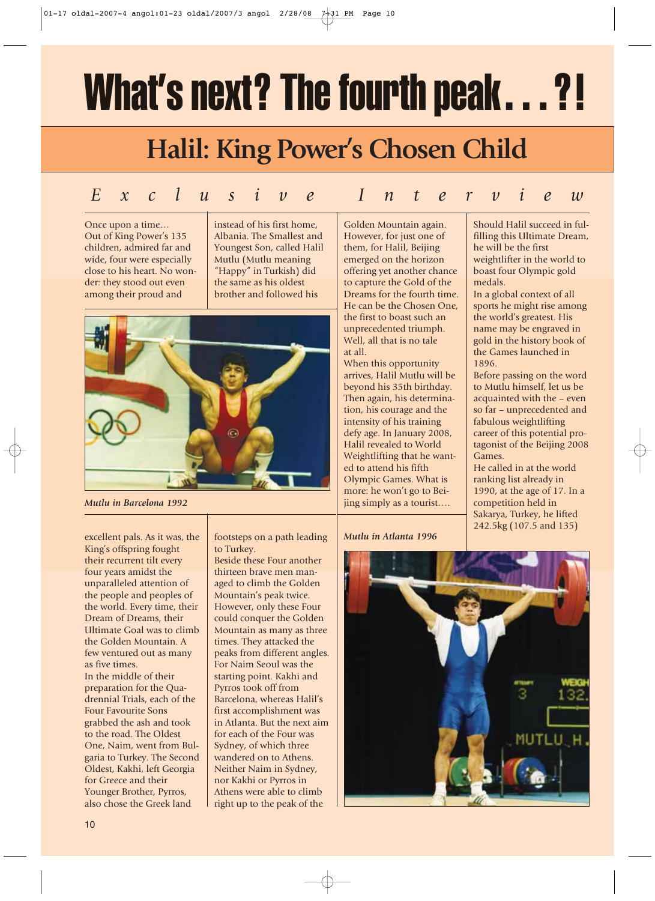## What's next? The fourth peak…?!

## **Halil: King Power's Chosen Child**

## *Exclusive Interview*

Once upon a time… Out of King Power's 135 children, admired far and wide, four were especially close to his heart. No wonder: they stood out even among their proud and

instead of his first home, Albania. The Smallest and Youngest Son, called Halil Mutlu (Mutlu meaning "Happy" in Turkish) did the same as his oldest brother and followed his



*Mutlu in Barcelona 1992*

excellent pals. As it was, the King's offspring fought their recurrent tilt every four years amidst the unparalleled attention of the people and peoples of the world. Every time, their Dream of Dreams, their Ultimate Goal was to climb the Golden Mountain. A few ventured out as many as five times. In the middle of their preparation for the Quadrennial Trials, each of the Four Favourite Sons grabbed the ash and took to the road. The Oldest One, Naim, went from Bulgaria to Turkey. The Second Oldest, Kakhi, left Georgia for Greece and their Younger Brother, Pyrros, also chose the Greek land

footsteps on a path leading to Turkey.

Beside these Four another thirteen brave men managed to climb the Golden Mountain's peak twice. However, only these Four could conquer the Golden Mountain as many as three times. They attacked the peaks from different angles. For Naim Seoul was the starting point. Kakhi and Pyrros took off from Barcelona, whereas Halil's first accomplishment was in Atlanta. But the next aim for each of the Four was Sydney, of which three wandered on to Athens. Neither Naim in Sydney, nor Kakhi or Pyrros in Athens were able to climb right up to the peak of the

Golden Mountain again. However, for just one of them, for Halil, Beijing emerged on the horizon offering yet another chance to capture the Gold of the Dreams for the fourth time. He can be the Chosen One, the first to boast such an unprecedented triumph. Well, all that is no tale at all.

When this opportunity arrives, Halil Mutlu will be beyond his 35th birthday. Then again, his determination, his courage and the intensity of his training defy age. In January 2008, Halil revealed to World Weightlifting that he wanted to attend his fifth Olympic Games. What is more: he won't go to Beijing simply as a tourist….

*Mutlu in Atlanta 1996*

Should Halil succeed in fulfilling this Ultimate Dream, he will be the first weightlifter in the world to boast four Olympic gold medals.

In a global context of all sports he might rise among the world's greatest. His name may be engraved in gold in the history book of the Games launched in 1896.

Before passing on the word to Mutlu himself, let us be acquainted with the – even so far – unprecedented and fabulous weightlifting career of this potential protagonist of the Beijing 2008 Games.

He called in at the world ranking list already in 1990, at the age of 17. In a competition held in Sakarya, Turkey, he lifted 242.5kg (107.5 and 135)

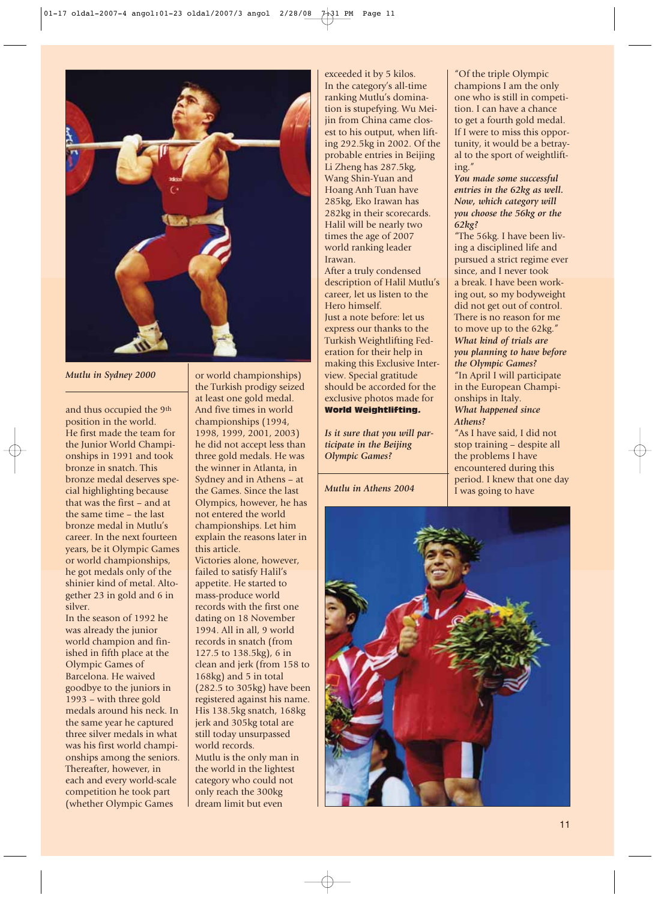

*Mutlu in Sydney 2000*

and thus occupied the 9th position in the world. He first made the team for the Junior World Championships in 1991 and took bronze in snatch. This bronze medal deserves special highlighting because that was the first – and at the same time – the last bronze medal in Mutlu's career. In the next fourteen years, be it Olympic Games or world championships, he got medals only of the shinier kind of metal. Altogether 23 in gold and 6 in silver.

In the season of 1992 he was already the junior world champion and finished in fifth place at the Olympic Games of Barcelona. He waived goodbye to the juniors in 1993 – with three gold medals around his neck. In the same year he captured three silver medals in what was his first world championships among the seniors. Thereafter, however, in each and every world-scale competition he took part (whether Olympic Games

or world championships) the Turkish prodigy seized at least one gold medal. And five times in world championships (1994, 1998, 1999, 2001, 2003) he did not accept less than three gold medals. He was the winner in Atlanta, in Sydney and in Athens – at the Games. Since the last Olympics, however, he has not entered the world championships. Let him explain the reasons later in this article.

Victories alone, however, failed to satisfy Halil's appetite. He started to mass-produce world records with the first one dating on 18 November 1994. All in all, 9 world records in snatch (from 127.5 to 138.5kg), 6 in clean and jerk (from 158 to 168kg) and 5 in total (282.5 to 305kg) have been registered against his name. His 138.5kg snatch, 168kg jerk and 305kg total are still today unsurpassed world records. Mutlu is the only man in the world in the lightest category who could not only reach the 300kg dream limit but even

exceeded it by 5 kilos. In the category's all-time ranking Mutlu's domination is stupefying. Wu Meijin from China came closest to his output, when lifting 292.5kg in 2002. Of the probable entries in Beijing Li Zheng has 287.5kg, Wang Shin-Yuan and Hoang Anh Tuan have 285kg, Eko Irawan has 282kg in their scorecards. Halil will be nearly two times the age of 2007 world ranking leader

After a truly condensed description of Halil Mutlu's career, let us listen to the Hero himself. Just a note before: let us express our thanks to the Turkish Weightlifting Federation for their help in making this Exclusive Interview. Special gratitude should be accorded for the exclusive photos made for World Weightlifting.

*Is it sure that you will participate in the Beijing Olympic Games?*

*Mutlu in Athens 2004*

"Of the triple Olympic champions I am the only one who is still in competition. I can have a chance to get a fourth gold medal. If I were to miss this opportunity, it would be a betrayal to the sport of weightlifting."

*You made some successful entries in the 62kg as well. Now, which category will you choose the 56kg or the 62kg?*

"The 56kg. I have been living a disciplined life and pursued a strict regime ever since, and I never took a break. I have been working out, so my bodyweight did not get out of control. There is no reason for me to move up to the 62kg." *What kind of trials are you planning to have before the Olympic Games?* "In April I will participate in the European Championships in Italy. *What happened since Athens?*

"As I have said, I did not stop training – despite all the problems I have encountered during this period. I knew that one day I was going to have